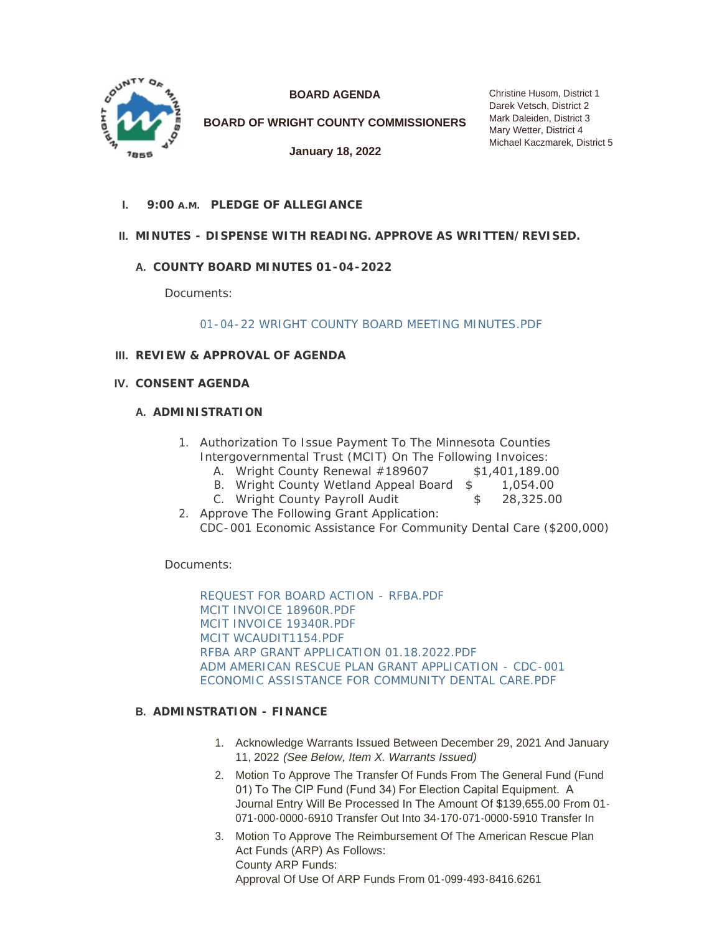

**BOARD AGENDA**

**BOARD OF WRIGHT COUNTY COMMISSIONERS**

**January 18, 2022**

**PLEDGE OF ALLEGIANCE I. 9:00 A.M.**

# **MINUTES - DISPENSE WITH READING. APPROVE AS WRITTEN/REVISED. II.**

# **COUNTY BOARD MINUTES 01-04-2022 A.**

Documents:

[01-04-22 WRIGHT COUNTY BOARD MEETING MINUTES.PDF](http://www.co.wright.mn.us/AgendaCenter/ViewFile/Item/10208?fileID=21664)

# **REVIEW & APPROVAL OF AGENDA III.**

**CONSENT AGENDA IV.**

# **A. ADMINISTRATION**

- 1. Authorization To Issue Payment To The Minnesota Counties Intergovernmental Trust (MCIT) On The Following Invoices:
	- A. Wright County Renewal #189607 \$1,401,189.00
	- B. Wright County Wetland Appeal Board  $$ 1,054.00$
	- C. Wright County Payroll Audit  $$ 28,325.00$
- 2. Approve The Following Grant Application: CDC-001 Economic Assistance For Community Dental Care (\$200,000)

Documents:

[REQUEST FOR BOARD ACTION - RFBA.PDF](http://www.co.wright.mn.us/AgendaCenter/ViewFile/Item/10245?fileID=21685) [MCIT INVOICE 18960R.PDF](http://www.co.wright.mn.us/AgendaCenter/ViewFile/Item/10245?fileID=21687) [MCIT INVOICE 19340R.PDF](http://www.co.wright.mn.us/AgendaCenter/ViewFile/Item/10245?fileID=21688) [MCIT WCAUDIT1154.PDF](http://www.co.wright.mn.us/AgendaCenter/ViewFile/Item/10245?fileID=21686) [RFBA ARP GRANT APPLICATION 01.18.2022.PDF](http://www.co.wright.mn.us/AgendaCenter/ViewFile/Item/10245?fileID=21722) [ADM AMERICAN RESCUE PLAN GRANT APPLICATION - CDC-001](http://www.co.wright.mn.us/AgendaCenter/ViewFile/Item/10245?fileID=21723)  ECONOMIC ASSISTANCE FOR COMMUNITY DENTAL CARE.PDF

# **ADMINSTRATION - FINANCE B.**

- 1. Acknowledge Warrants Issued Between December 29, 2021 And January 11, 2022 *(See Below, Item X. Warrants Issued)*
- 2. Motion To Approve The Transfer Of Funds From The General Fund (Fund 01) To The CIP Fund (Fund 34) For Election Capital Equipment. A Journal Entry Will Be Processed In The Amount Of \$139,655.00 From 01- 071-000-0000-6910 Transfer Out Into 34-170-071-0000-5910 Transfer In
- 3. Motion To Approve The Reimbursement Of The American Rescue Plan Act Funds (ARP) As Follows: County ARP Funds: Approval Of Use Of ARP Funds From 01-099-493-8416.6261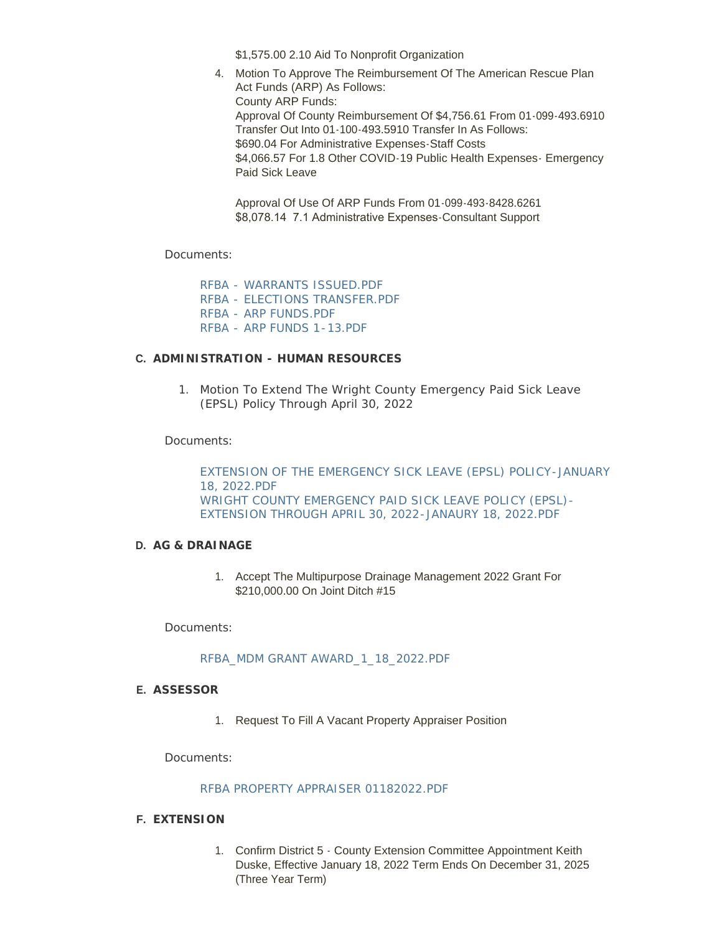\$1,575.00 2.10 Aid To Nonprofit Organization

4. Motion To Approve The Reimbursement Of The American Rescue Plan Act Funds (ARP) As Follows: County ARP Funds: Approval Of County Reimbursement Of \$4,756.61 From 01-099-493.6910 Transfer Out Into 01-100-493.5910 Transfer In As Follows: \$690.04 For Administrative Expenses-Staff Costs \$4,066.57 For 1.8 Other COVID-19 Public Health Expenses - Emergency Paid Sick Leave

Approval Of Use Of ARP Funds From 01-099-493-8428.6261 \$8,078.14 7.1 Administrative Expenses-Consultant Support

Documents:

[RFBA - WARRANTS ISSUED.PDF](http://www.co.wright.mn.us/AgendaCenter/ViewFile/Item/10213?fileID=21741) [RFBA - ELECTIONS TRANSFER.PDF](http://www.co.wright.mn.us/AgendaCenter/ViewFile/Item/10213?fileID=21623) [RFBA - ARP FUNDS.PDF](http://www.co.wright.mn.us/AgendaCenter/ViewFile/Item/10213?fileID=21742) [RFBA - ARP FUNDS 1-13.PDF](http://www.co.wright.mn.us/AgendaCenter/ViewFile/Item/10213?fileID=21743)

# **ADMINISTRATION - HUMAN RESOURCES C.**

1. Motion To Extend The Wright County Emergency Paid Sick Leave (EPSL) Policy Through April 30, 2022

Documents:

[EXTENSION OF THE EMERGENCY SICK LEAVE \(EPSL\) POLICY-JANUARY](http://www.co.wright.mn.us/AgendaCenter/ViewFile/Item/10262?fileID=21736)  18, 2022.PDF [WRIGHT COUNTY EMERGENCY PAID SICK LEAVE POLICY \(EPSL\)-](http://www.co.wright.mn.us/AgendaCenter/ViewFile/Item/10262?fileID=21737) EXTENSION THROUGH APRIL 30, 2022-JANAURY 18, 2022.PDF

# **AG & DRAINAGE D.**

1. Accept The Multipurpose Drainage Management 2022 Grant For \$210,000.00 On Joint Ditch #15

Documents:

# [RFBA\\_MDM GRANT AWARD\\_1\\_18\\_2022.PDF](http://www.co.wright.mn.us/AgendaCenter/ViewFile/Item/10250?fileID=21697)

# **ASSESSOR E.**

1. Request To Fill A Vacant Property Appraiser Position

Documents:

# [RFBA PROPERTY APPRAISER 01182022.PDF](http://www.co.wright.mn.us/AgendaCenter/ViewFile/Item/10246?fileID=21689)

# **EXTENSION F.**

1. Confirm District 5 - County Extension Committee Appointment Keith Duske, Effective January 18, 2022 Term Ends On December 31, 2025 (Three Year Term)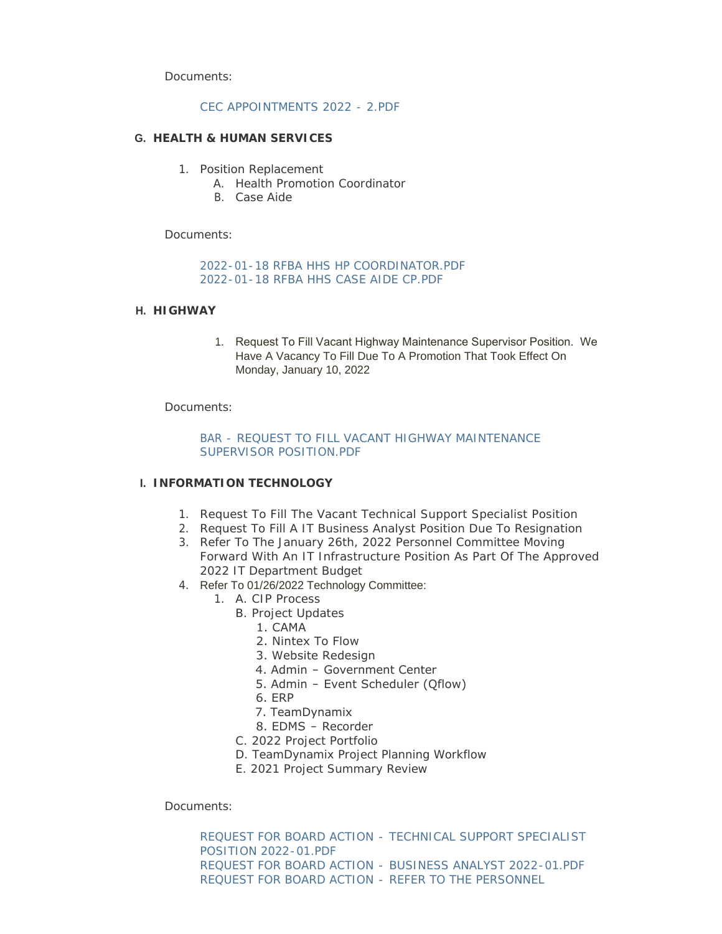Documents:

### [CEC APPOINTMENTS 2022 - 2.PDF](http://www.co.wright.mn.us/AgendaCenter/ViewFile/Item/10249?fileID=21696)

#### **HEALTH & HUMAN SERVICES G.**

- 1. Position Replacement
	- A. Health Promotion Coordinator
	- B. Case Aide

Documents:

[2022-01-18 RFBA HHS HP COORDINATOR.PDF](http://www.co.wright.mn.us/AgendaCenter/ViewFile/Item/10253?fileID=21705) [2022-01-18 RFBA HHS CASE AIDE CP.PDF](http://www.co.wright.mn.us/AgendaCenter/ViewFile/Item/10253?fileID=21704)

#### **HIGHWAY H.**

1. Request To Fill Vacant Highway Maintenance Supervisor Position. We Have A Vacancy To Fill Due To A Promotion That Took Effect On Monday, January 10, 2022

Documents:

### [BAR - REQUEST TO FILL VACANT HIGHWAY MAINTENANCE](http://www.co.wright.mn.us/AgendaCenter/ViewFile/Item/10256?fileID=21719)  SUPERVISOR POSITION.PDF

# **I. INFORMATION TECHNOLOGY**

- 1. Request To Fill The Vacant Technical Support Specialist Position
- 2. Request To Fill A IT Business Analyst Position Due To Resignation
- 3. Refer To The January 26th, 2022 Personnel Committee Moving Forward With An IT Infrastructure Position As Part Of The Approved 2022 IT Department Budget
- 4. Refer To 01/26/2022 Technology Committee:
	- 1. A. CIP Process
		- B. Project Updates
			- 1. CAMA
			- 2. Nintex To Flow
			- 3. Website Redesign
			- 4. Admin Government Center
			- 5. Admin Event Scheduler (Qflow)
			- 6. ERP
			- 7. TeamDynamix
			- 8. EDMS Recorder
		- C. 2022 Project Portfolio
		- D. TeamDynamix Project Planning Workflow
		- E. 2021 Project Summary Review

Documents:

REQUEST FOR BOARD ACTION - [TECHNICAL SUPPORT SPECIALIST](http://www.co.wright.mn.us/AgendaCenter/ViewFile/Item/10216?fileID=21624)  POSITION 2022-01.PDF REQUEST FOR BOARD ACTION - [BUSINESS ANALYST 2022-01.PDF](http://www.co.wright.mn.us/AgendaCenter/ViewFile/Item/10216?fileID=21694) [REQUEST FOR BOARD ACTION -](http://www.co.wright.mn.us/AgendaCenter/ViewFile/Item/10216?fileID=21695) REFER TO THE PERSONNEL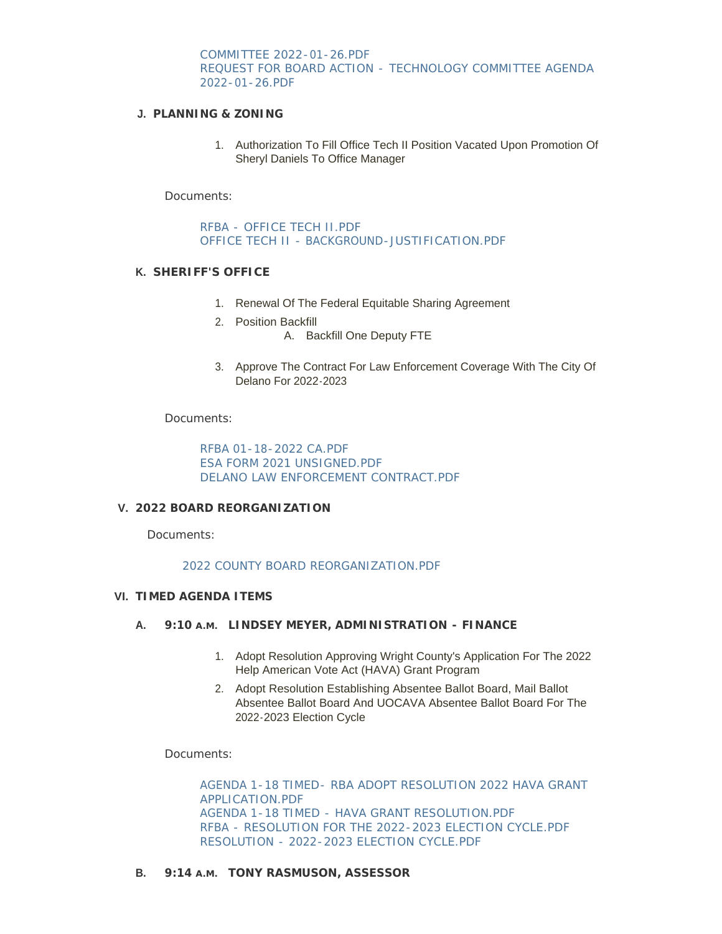COMMITTEE 2022-01-26.PDF REQUEST FOR BOARD ACTION - [TECHNOLOGY COMMITTEE AGENDA](http://www.co.wright.mn.us/AgendaCenter/ViewFile/Item/10216?fileID=21717)  2022-01-26.PDF

### **PLANNING & ZONING J.**

1. Authorization To Fill Office Tech II Position Vacated Upon Promotion Of Sheryl Daniels To Office Manager

Documents:

[RFBA - OFFICE TECH II.PDF](http://www.co.wright.mn.us/AgendaCenter/ViewFile/Item/10244?fileID=21681) [OFFICE TECH II - BACKGROUND-JUSTIFICATION.PDF](http://www.co.wright.mn.us/AgendaCenter/ViewFile/Item/10244?fileID=21682)

#### **SHERIFF'S OFFICE K.**

- 1. Renewal Of The Federal Equitable Sharing Agreement
- 2. Position Backfill A. Backfill One Deputy FTE
- 3. Approve The Contract For Law Enforcement Coverage With The City Of Delano For 2022-2023

Documents:

[RFBA 01-18-2022 CA.PDF](http://www.co.wright.mn.us/AgendaCenter/ViewFile/Item/10251?fileID=21698) [ESA FORM 2021 UNSIGNED.PDF](http://www.co.wright.mn.us/AgendaCenter/ViewFile/Item/10251?fileID=21699) [DELANO LAW ENFORCEMENT CONTRACT.PDF](http://www.co.wright.mn.us/AgendaCenter/ViewFile/Item/10251?fileID=21700)

#### **2022 BOARD REORGANIZATION V.**

Documents:

[2022 COUNTY BOARD REORGANIZATION.PDF](http://www.co.wright.mn.us/AgendaCenter/ViewFile/Item/10210?fileID=21605)

#### **TIMED AGENDA ITEMS VI.**

- **LINDSEY MEYER, ADMINISTRATION FINANCE A. 9:10 A.M.**
	- 1. Adopt Resolution Approving Wright County's Application For The 2022 Help American Vote Act (HAVA) Grant Program
	- 2. Adopt Resolution Establishing Absentee Ballot Board, Mail Ballot Absentee Ballot Board And UOCAVA Absentee Ballot Board For The 2022-2023 Election Cycle

Documents:

[AGENDA 1-18 TIMED- RBA ADOPT RESOLUTION 2022 HAVA GRANT](http://www.co.wright.mn.us/AgendaCenter/ViewFile/Item/10242?fileID=21703)  APPLICATION.PDF [AGENDA 1-18 TIMED - HAVA GRANT RESOLUTION.PDF](http://www.co.wright.mn.us/AgendaCenter/ViewFile/Item/10242?fileID=21671) [RFBA - RESOLUTION FOR THE 2022-2023 ELECTION CYCLE.PDF](http://www.co.wright.mn.us/AgendaCenter/ViewFile/Item/10242?fileID=21744) [RESOLUTION - 2022-2023 ELECTION CYCLE.PDF](http://www.co.wright.mn.us/AgendaCenter/ViewFile/Item/10242?fileID=21745)

**B.** 9:14 A.M. TONY RASMUSON, ASSESSOR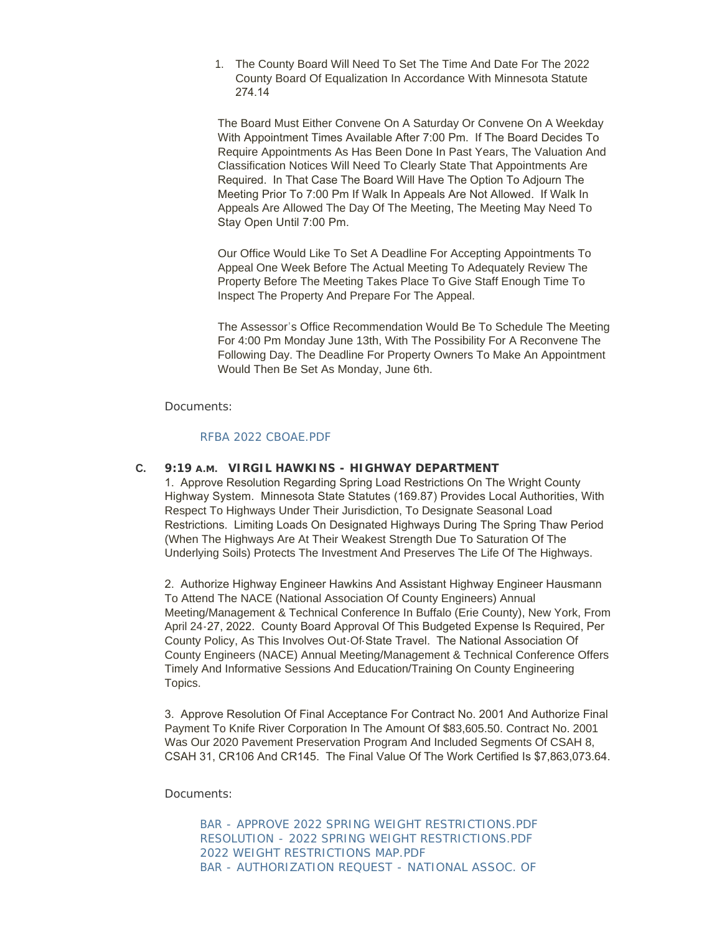1. The County Board Will Need To Set The Time And Date For The 2022 County Board Of Equalization In Accordance With Minnesota Statute 274.14

The Board Must Either Convene On A Saturday Or Convene On A Weekday With Appointment Times Available After 7:00 Pm. If The Board Decides To Require Appointments As Has Been Done In Past Years, The Valuation And Classification Notices Will Need To Clearly State That Appointments Are Required. In That Case The Board Will Have The Option To Adjourn The Meeting Prior To 7:00 Pm If Walk In Appeals Are Not Allowed. If Walk In Appeals Are Allowed The Day Of The Meeting, The Meeting May Need To Stay Open Until 7:00 Pm.

Our Office Would Like To Set A Deadline For Accepting Appointments To Appeal One Week Before The Actual Meeting To Adequately Review The Property Before The Meeting Takes Place To Give Staff Enough Time To Inspect The Property And Prepare For The Appeal.

The Assessor's Office Recommendation Would Be To Schedule The Meeting For 4:00 Pm Monday June 13th, With The Possibility For A Reconvene The Following Day. The Deadline For Property Owners To Make An Appointment Would Then Be Set As Monday, June 6th.

Documents:

# [RFBA 2022 CBOAE.PDF](http://www.co.wright.mn.us/AgendaCenter/ViewFile/Item/10247?fileID=21690)

# **VIRGIL HAWKINS - HIGHWAY DEPARTMENT C. 9:19 A.M.**

1. Approve Resolution Regarding Spring Load Restrictions On The Wright County Highway System. Minnesota State Statutes (169.87) Provides Local Authorities, With Respect To Highways Under Their Jurisdiction, To Designate Seasonal Load Restrictions. Limiting Loads On Designated Highways During The Spring Thaw Period (When The Highways Are At Their Weakest Strength Due To Saturation Of The Underlying Soils) Protects The Investment And Preserves The Life Of The Highways.

2. Authorize Highway Engineer Hawkins And Assistant Highway Engineer Hausmann To Attend The NACE (National Association Of County Engineers) Annual Meeting/Management & Technical Conference In Buffalo (Erie County), New York, From April 24-27, 2022. County Board Approval Of This Budgeted Expense Is Required, Per County Policy, As This Involves Out-Of-State Travel. The National Association Of County Engineers (NACE) Annual Meeting/Management & Technical Conference Offers Timely And Informative Sessions And Education/Training On County Engineering Topics.

3. Approve Resolution Of Final Acceptance For Contract No. 2001 And Authorize Final Payment To Knife River Corporation In The Amount Of \$83,605.50. Contract No. 2001 Was Our 2020 Pavement Preservation Program And Included Segments Of CSAH 8, CSAH 31, CR106 And CR145. The Final Value Of The Work Certified Is \$7,863,073.64.

Documents:

[BAR - APPROVE 2022 SPRING WEIGHT RESTRICTIONS.PDF](http://www.co.wright.mn.us/AgendaCenter/ViewFile/Item/10248?fileID=21708) [RESOLUTION - 2022 SPRING WEIGHT RESTRICTIONS.PDF](http://www.co.wright.mn.us/AgendaCenter/ViewFile/Item/10248?fileID=21713) [2022 WEIGHT RESTRICTIONS MAP.PDF](http://www.co.wright.mn.us/AgendaCenter/ViewFile/Item/10248?fileID=21707) [BAR - AUTHORIZATION REQUEST - NATIONAL ASSOC. OF](http://www.co.wright.mn.us/AgendaCenter/ViewFile/Item/10248?fileID=21709)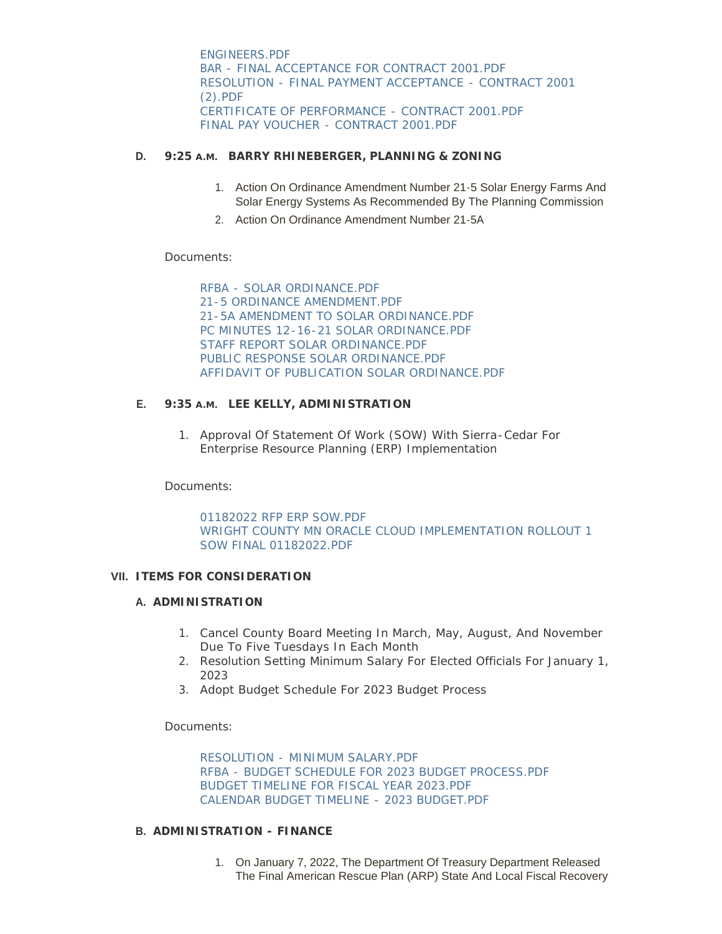ENGINEERS.PDF [BAR - FINAL ACCEPTANCE FOR CONTRACT 2001.PDF](http://www.co.wright.mn.us/AgendaCenter/ViewFile/Item/10248?fileID=21710) [RESOLUTION - FINAL PAYMENT ACCEPTANCE - CONTRACT 2001](http://www.co.wright.mn.us/AgendaCenter/ViewFile/Item/10248?fileID=21706)  (2).PDF [CERTIFICATE OF PERFORMANCE - CONTRACT 2001.PDF](http://www.co.wright.mn.us/AgendaCenter/ViewFile/Item/10248?fileID=21720) [FINAL PAY VOUCHER - CONTRACT 2001.PDF](http://www.co.wright.mn.us/AgendaCenter/ViewFile/Item/10248?fileID=21712)

# **BARRY RHINEBERGER, PLANNING & ZONING D. 9:25 A.M.**

- 1. Action On Ordinance Amendment Number 21-5 Solar Energy Farms And Solar Energy Systems As Recommended By The Planning Commission
- 2. Action On Ordinance Amendment Number 21-5A

Documents:

[RFBA - SOLAR ORDINANCE.PDF](http://www.co.wright.mn.us/AgendaCenter/ViewFile/Item/10211?fileID=21606) [21-5 ORDINANCE AMENDMENT.PDF](http://www.co.wright.mn.us/AgendaCenter/ViewFile/Item/10211?fileID=21612) [21-5A AMENDMENT TO SOLAR ORDINANCE.PDF](http://www.co.wright.mn.us/AgendaCenter/ViewFile/Item/10211?fileID=21611) [PC MINUTES 12-16-21 SOLAR ORDINANCE.PDF](http://www.co.wright.mn.us/AgendaCenter/ViewFile/Item/10211?fileID=21610) [STAFF REPORT SOLAR ORDINANCE.PDF](http://www.co.wright.mn.us/AgendaCenter/ViewFile/Item/10211?fileID=21609) [PUBLIC RESPONSE SOLAR ORDINANCE.PDF](http://www.co.wright.mn.us/AgendaCenter/ViewFile/Item/10211?fileID=21608) [AFFIDAVIT OF PUBLICATION SOLAR ORDINANCE.PDF](http://www.co.wright.mn.us/AgendaCenter/ViewFile/Item/10211?fileID=21607)

# **E.** 9:35 A.M. LEE KELLY, ADMINISTRATION

1. Approval Of Statement Of Work (SOW) With Sierra-Cedar For Enterprise Resource Planning (ERP) Implementation

Documents:

[01182022 RFP ERP SOW.PDF](http://www.co.wright.mn.us/AgendaCenter/ViewFile/Item/10261?fileID=21733) [WRIGHT COUNTY MN ORACLE CLOUD IMPLEMENTATION ROLLOUT 1](http://www.co.wright.mn.us/AgendaCenter/ViewFile/Item/10261?fileID=21734)  SOW FINAL 01182022.PDF

# **ITEMS FOR CONSIDERATION VII.**

# **A. ADMINISTRATION**

- 1. Cancel County Board Meeting In March, May, August, And November Due To Five Tuesdays In Each Month
- 2. Resolution Setting Minimum Salary For Elected Officials For January 1, 2023
- 3. Adopt Budget Schedule For 2023 Budget Process

Documents:

[RESOLUTION - MINIMUM SALARY.PDF](http://www.co.wright.mn.us/AgendaCenter/ViewFile/Item/10215?fileID=21621) [RFBA - BUDGET SCHEDULE FOR 2023 BUDGET PROCESS.PDF](http://www.co.wright.mn.us/AgendaCenter/ViewFile/Item/10215?fileID=21740) [BUDGET TIMELINE FOR FISCAL YEAR 2023.PDF](http://www.co.wright.mn.us/AgendaCenter/ViewFile/Item/10215?fileID=21738) [CALENDAR BUDGET TIMELINE - 2023 BUDGET.PDF](http://www.co.wright.mn.us/AgendaCenter/ViewFile/Item/10215?fileID=21739)

# **ADMINISTRATION - FINANCE B.**

1. On January 7, 2022, The Department Of Treasury Department Released The Final American Rescue Plan (ARP) State And Local Fiscal Recovery